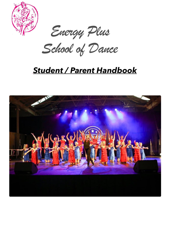

 *Energy Plus* 

*School of Dance*

# *Student / Parent Handbook*

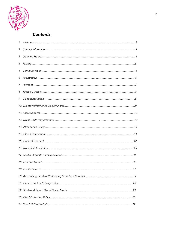

# *Contents*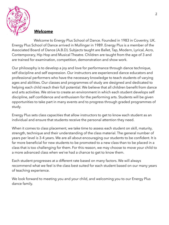

## *Welcome*

Welcome to Energy Plus School of Dance. Founded in 1983 in Coventry, UK. Energy Plus School of Dance arrived in Mullingar in 1989. Energy Plus is a member of the Associated Board of Dance (A.B.D). Subjects taught are Ballet, Tap, Modern, Lyrical, Acro, Contemporary, Hip Hop and Musical Theatre. Children are taught from the age of 3 and are trained for examination, competition, demonstration and show work.

Our philosophy is to develop a joy and love for performance through dance technique, self discipline and self expression. Our instructors are experienced dance educators and professional performers who have the necessary knowledge to teach students of varying ages and abilities. Our classes and programmes of study are designed and dedicated to helping each child reach their full potential. We believe that all children benefit from dance and arts activities. We strive to create an environment in which each student develops self discipline, self confidence and enthusiasm for the performing arts. Students will be given opportunities to take part in many events and to progress through graded programmes of study.

Energy Plus sets class capacities that allow instructors to get to know each student as an individual and ensure that students receive the personal attention they need.

When it comes to class placement, we take time to assess each student on skill, maturity, strength, technique and their understanding of the class material. The general number of years per level is 3-4 years. We are all about encouraging our students to be confident. It is far more beneficial for new students to be promoted to a new class than to be placed in a class that is too challenging for them. For this reason, we may choose to move your child to a more advanced class when we've had a chance to get to know them.

Each student progresses at a different rate based on many factors. We will always recommend what we feel is the class best suited for each student based on our many years of teaching experience.

We look forward to meeting you and your child, and welcoming you to our Energy Plus dance family.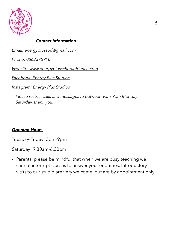

# *Contact Information*

*Email: [energyplussod@gmail.com](mailto:energyplussod@gmail.com)*

*Phone: 0862375910* 

*Website: [www.energyplusschoolofdance.com](http://www.energyplusschoolofdance.com)*

*Facebook: Energy Plus Studios*

*Instagram: Energy Plus Studios*

*- Please restrict calls and messages to between 9am-9pm Monday-Saturday, thank you.*

# *Opening Hours*

Tuesday-Friday: 3pm-9pm

Saturday: 9.30am-6.30pm

*-* Parents, please be mindful that when we are busy teaching we cannot interrupt classes to answer your enquiries. Introductory visits to our studio are very welcome, but are by appointment only.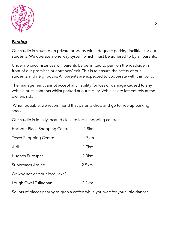

# *Parking*

Our studio is situated on private property with adequate parking facilities for our students. We operate a one way system which must be adhered to by all parents.

Under no circumstances will parents be permitted to park on the roadside in front of our premises or entrance/ exit. This is to ensure the safety of our students and neighbours. All parents are expected to cooperate with this policy.

The management cannot accept any liability for loss or damage caused to any vehicle or its contents whilst parked at our facility. Vehicles are left entirely at the owners risk.

 When possible, we recommend that parents drop and go to free up parking spaces.

Our studio is ideally located close to local shopping centres:

|  |  | Harbour Place Shopping Centre2.8km |
|--|--|------------------------------------|
|  |  |                                    |

|  | Tesco Shopping Centre1.7km |  |
|--|----------------------------|--|
|--|----------------------------|--|

- Hughes Eurospar…………………………2.3km
- Supermacs Ardlee……………………….2.5km
- Or why not visit our local lake?

Lough Owel Tullaghan…………………..2.2km

So lots of places nearby to grab a coffee while you wait for your little dancer.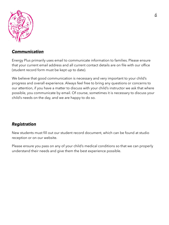

## *Communication*

Energy Plus primarily uses email to communicate information to families. Please ensure that your current email address and all current contact details are on file with our office (student record form must be kept up to date).

We believe that good communication is necessary and very important to your child's progress and overall experience. Always feel free to bring any questions or concerns to our attention, if you have a matter to discuss with your child's instructor we ask that where possible, you communicate by email. Of course, sometimes it is necessary to discuss your child's needs on the day, and we are happy to do so.

# *Registration*

New students must fill out our student record document, which can be found at studio reception or on our website.

Please ensure you pass on any of your child's medical conditions so that we can properly understand their needs and give them the best experience possible.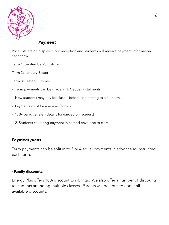

## *Payment*

Price lists are on display in our reception and students will receive payment information each term.

- Term 1: September-Christmas
- Term 2: January-Easter
- Term 3: Easter- Summer
- Term payments can be made in 3/4 equal instalments.
- New students may pay for class 1 before committing to a full term.
- Payments must be made as follows;
- 1. By bank transfer (details forwarded on request)
- 2. Students can bring payment in named envelope to class.

# *Payment plans*

Term payments can be split in to 3 or 4 equal payments in advance as instructed each term.

#### **- Family discounts:**

Energy Plus offers 10% discount to siblings. We also offer a number of discounts to students attending multiple classes. Parents will be notified about all available discounts.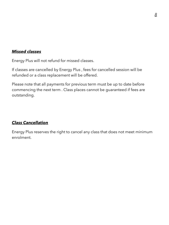## *Missed classes*

Energy Plus will not refund for missed classes.

If classes are cancelled by Energy Plus , fees for cancelled session will be refunded or a class replacement will be offered.

Please note that all payments for previous term must be up to date before commencing the next term . Class places cannot be guaranteed if fees are outstanding.

# *Class Cancellation*

Energy Plus reserves the right to cancel any class that does not meet minimum enrolment.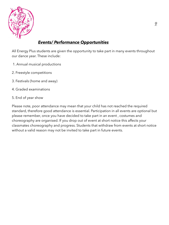

# *Events/ Performance Opportunities*

All Energy Plus students are given the opportunity to take part in many events throughout our dance year. These include:

- 1. Annual musical productions
- 2. Freestyle competitions
- 3. Festivals (home and away)
- 4. Graded examinations
- 5. End of year show

Please note, poor attendance may mean that your child has not reached the required standard, therefore good attendance is essential. Participation in all events are optional but please remember, once you have decided to take part in an event , costumes and choreography are organised. If you drop out of event at short notice this affects your classmates choreography and progress. Students that withdraw from events at short notice without a valid reason may not be invited to take part in future events.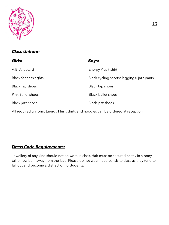

# *Class Uniform*

| Girls:                                                                              | <b>Boys:</b>                             |  |  |  |
|-------------------------------------------------------------------------------------|------------------------------------------|--|--|--|
| A.B.D. leotard                                                                      | Energy Plus t-shirt                      |  |  |  |
| Black footless tights                                                               | Black cycling shorts/leggings/jazz pants |  |  |  |
| Black tap shoes                                                                     | Black tap shoes                          |  |  |  |
| <b>Pink Ballet shoes</b>                                                            | <b>Black ballet shoes</b>                |  |  |  |
| Black jazz shoes                                                                    | Black jazz shoes                         |  |  |  |
| All required uniform, Energy Plus t shirts and hoodies can be ordered at reception. |                                          |  |  |  |

## *Dress Code Requirements:*

Jewellery of any kind should not be worn in class. Hair must be secured neatly in a pony tail or low bun, away from the face. Please do not wear head bands to class as they tend to fall out and become a distraction to students.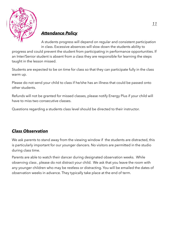

# *Attendance Policy*

A students progress will depend on regular and consistent participation in class. Excessive absences will slow down the students ability to

progress and could prevent the student from participating in performance opportunities. If an Inter/Senior student is absent from a class they are responsible for learning the steps taught in the lesson missed.

Students are expected to be on time for class so that they can participate fully in the class warm up.

Please do not send your child to class if he/she has an illness that could be passed onto other students.

Refunds will not be granted for missed classes, please notify Energy Plus if your child will have to miss two consecutive classes.

Questions regarding a students class level should be directed to their instructor.

# *Class Observation*

We ask parents to stand away from the viewing window if the students are distracted, this is particularly important for our younger dancers. No visitors are permitted in the studio during class time.

Parents are able to watch their dancer during designated observation weeks. While observing class , please do not distract your child. We ask that you leave the room with any younger children who may be restless or distracting. You will be emailed the dates of observation weeks in advance. They typically take place at the end of term.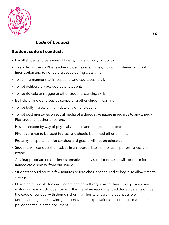

# *Code of Conduct*

## **Student code of conduct:**

- **-** For all students to be aware of Energy Plus anti bullying policy.
- **-** To abide by Energy Plus teacher guidelines at all times, including listening without interruption and to not be disruptive during class time.
- **-** To act in a manner that is respectful and courteous to all.
- **-** To not deliberately exclude other students.
- **-** To not ridicule or snigger at other students dancing skills.
- **-** Be helpful and generous by supporting other student learning.
- **-** To not bully, harass or intimidate any other student.
- **-** To not post messages on social media of a derogative nature in regards to any Energy Plus student, teacher or parent.
- **-** Never threaten by way of physical violence another student or teacher.
- **-** Phones are not to be used in class and should be turned off or on mute.
- **-** Profanity, unsportsmanlike conduct and gossip will not be tolerated.
- **-** Students will conduct themselves in an appropriate manner at all performances and events.
- **-** Any inappropriate or slanderous remarks on any social media site will be cause for immediate dismissal from our studio.
- **-** Students should arrive a few minutes before class is scheduled to begin, to allow time to change.
- **-** Please note, knowledge and understanding will vary in accordance to age range and maturity of each individual student. It is therefore recommended that all parents discuss the code of conduct with their children/ families to ensure the best possible. understanding and knowledge of behavioural expectations, in compliance with the policy as set out in the document.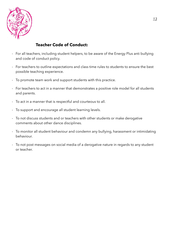

# **Teacher Code of Conduct:**

- For all teachers, including student helpers, to be aware of the Energy Plus anti bullying and code of conduct policy.
- For teachers to outline expectations and class time rules to students to ensure the best possible teaching experience.
- To promote team work and support students with this practice.
- For teachers to act in a manner that demonstrates a positive role model for all students and parents.
- To act in a manner that is respectful and courteous to all.
- To support and encourage all student learning levels.
- To not discuss students and or teachers with other students or make derogative comments about other dance disciplines.
- To monitor all student behaviour and condemn any bullying, harassment or intimidating behaviour.
- To not post messages on social media of a derogative nature in regards to any student or teacher.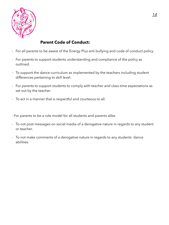

# **Parent Code of Conduct:**

- For all parents to be aware of the Energy Plus anti bullying and code of conduct policy.
- For parents to support students understanding and compliance of the policy as outlined.
- To support the dance curriculum as implemented by the teachers including student differences pertaining to skill level.
- For parents to support students to comply with teacher and class time expectations as set out by the teacher.
- To act in a manner that is respectful and courteous to all.
- For parents to be a role model for all students and parents alike.
- To not post messages on social media of a derogative nature in regards to any student or teacher.
- To not make comments of a derogative nature in regards to any students dance abilities.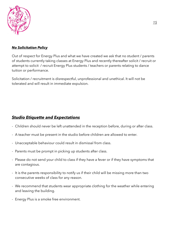

#### *No Solicitation Policy*

Out of respect for Energy Plus and what we have created we ask that no student / parents of students currently taking classes at Energy Plus and recently thereafter solicit / recruit or attempt to solicit / recruit Energy Plus students / teachers or parents relating to dance tuition or performance.

Solicitation / recruitment is disrespectful, unprofessional and unethical. It will not be tolerated and will result in immediate expulsion.

## *Studio Etiquette and Expectations*

- Children should never be left unattended in the reception before, during or after class.
- A teacher must be present in the studio before children are allowed to enter.
- Unacceptable behaviour could result in dismissal from class.
- Parents must be prompt in picking up students after class.
- Please do not send your child to class if they have a fever or if they have symptoms that are contagious.
- It is the parents responsibility to notify us if their child will be missing more than two consecutive weeks of class for any reason.
- We recommend that students wear appropriate clothing for the weather while entering and leaving the building.
- Energy Plus is a smoke free environment.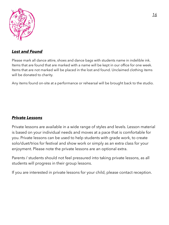

# *Lost and Found*

Please mark all dance attire, shoes and dance bags with students name in indelible ink. Items that are found that are marked with a name will be kept in our office for one week. Items that are not marked will be placed in the lost and found. Unclaimed clothing items will be donated to charity.

Any items found on-site at a performance or rehearsal will be brought back to the studio.

## *Private Lessons*

Private lessons are available in a wide range of styles and levels. Lesson material is based on your individual needs and moves at a pace that is comfortable for you. Private lessons can be used to help students with grade work, to create solo/duet/trios for festival and show work or simply as an extra class for your enjoyment. Please note the private lessons are an optional extra.

Parents / students should not feel pressured into taking private lessons, as all students will progress in their group lessons.

If you are interested in private lessons for your child, please contact reception.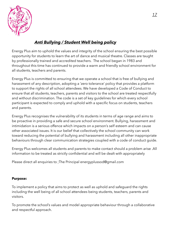

# *Anti Bullying / Student Well being policy*

Energy Plus aim to uphold the values and integrity of the school ensuring the best possible opportunity for students to learn the art of dance and musical theatre. Classes are taught by professionally trained and accredited teachers. The school began in 1983 and throughout this time has continued to provide a warm and friendly school environment for all students, teachers and parents.

Energy Plus is committed to ensuring that we operate a school that is free of bullying and harassment of any description, adopting a 'zero tolerance' policy that provides a platform to support the rights of all school attendees. We have developed a Code of Conduct to ensure that all students, teachers, parents and visitors to the school are treated respectfully and without discrimination. The code is a set of key guidelines for which every school participant is expected to comply and uphold with a specific focus on students, teachers and parents.

Energy Plus recognises the vulnerability of its students in terms of age range and aims to be proactive in providing a safe and secure school environment. Bullying, harassment and intimidation is a serious offence which impacts on a person's self esteem and can cause other associated issues. It is our belief that collectively the school community can work toward reducing the potential of bullying and harassment including all other inappropriate behaviours through clear communication strategies coupled with a code of conduct guide.

Energy Plus welcomes all students and parents to make contact should a problem arise .All information to be treated as strictly confidential and will be dealt with appropriately

Please direct all enquiries to ;The Principal [energyplussod@gmail.com](mailto:energyplussod@gmail.com)

### **Purpose:**

To implement a policy that aims to protect as well as uphold and safeguard the rights including the well being of all school attendees being students, teachers, parents and visitors.

To promote the school's values and model appropriate behaviour through a collaborative and respectful approach.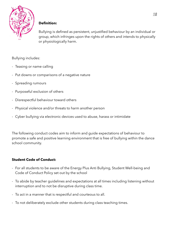

#### **Definition:**

Bullying is defined as persistent, unjustified behaviour by an individual or group, which infringes upon the rights of others and intends to physically or physiologically harm.

#### Bullying includes:

- Teasing or name calling
- Put downs or comparisons of a negative nature
- Spreading rumours
- Purposeful exclusion of others
- Disrespectful behaviour toward others
- Physical violence and/or threats to harm another person
- Cyber bullying via electronic devices used to abuse, harass or intimidate

The following conduct codes aim to inform and guide expectations of behaviour to promote a safe and positive learning environment that is free of bullying within the dance school community.

## **Student Code of Conduct:**

- For all students to be aware of the Energy Plus Anti Bullying, Student Well-being and Code of Conduct Policy set out by the school
- To abide by teacher guidelines and expectations at all times including listening without interruption and to not be disruptive during class time.
- To act in a manner that is respectful and courteous to all.
- To not deliberately exclude other students during class teaching times.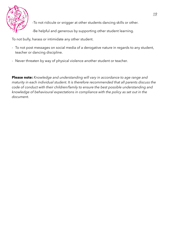

-To not ridicule or snigger at other students dancing skills or other.

-Be helpful and generous by supporting other student learning.

To not bully, harass or intimidate any other student.

- To not post messages on social media of a derogative nature in regards to any student, teacher or dancing discipline.
- Never threaten by way of physical violence another student or teacher.

**Please note:** *Knowledge and understanding will vary in accordance to age range and maturity in each individual student. It is therefore recommended that all parents discuss the code of conduct with their children/family to ensure the best possible understanding and knowledge of behavioural expectations in compliance with the policy as set out in the document.*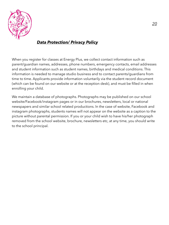

# *Data Protection/ Privacy Policy*

When you register for classes at Energy Plus, we collect contact information such as parent/guardian names, addresses, phone numbers, emergency contacts, email addresses and student information such as student names, birthdays and medical conditions. This information is needed to manage studio business and to contact parents/guardians from time to time. Applicants provide information voluntarily via the student record document (which can be found on our website or at the reception desk), and must be filled in when enrolling your child.

We maintain a database of photographs. Photographs may be published on our school website/Facebook/instagram pages or in our brochures, newsletters, local or national newspapers and similar school related productions. In the case of website, Facebook and instagram photographs, students names will not appear on the website as a caption to the picture without parental permission. If you or your child wish to have his/her photograph removed from the school website, brochure, newsletters etc, at any time, you should write to the school principal.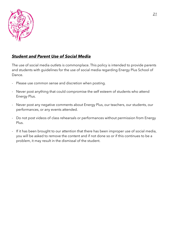

## *Student and Parent Use of Social Media*

The use of social media outlets is commonplace. This policy is intended to provide parents and students with guidelines for the use of social media regarding Energy Plus School of Dance.

- Please use common sense and discretion when posting.
- Never post anything that could compromise the self esteem of students who attend Energy Plus.
- Never post any negative comments about Energy Plus, our teachers, our students, our performances, or any events attended.
- Do not post videos of class rehearsals or performances without permission from Energy Plus.
- If it has been brought to our attention that there has been improper use of social media, you will be asked to remove the content and if not done so or if this continues to be a problem, it may result in the dismissal of the student.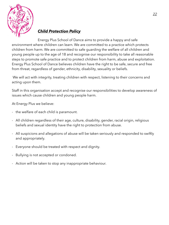

# *Child Protection Policy*

Energy Plus School of Dance aims to provide a happy and safe environment where children can learn. We are committed to a practice which protects children from harm. We are committed to safe guarding the welfare of all children and young people up to the age of 18 and recognise our responsibility to take all reasonable steps to promote safe practice and to protect children from harm, abuse and exploitation. Energy Plus School of Dance believes children have the right to be safe, secure and free from threat, regardless of gender, ethnicity, disability, sexuality or beliefs.

 We will act with integrity, treating children with respect, listening to their concerns and acting upon them.

Staff in this organisation accept and recognise our responsibilities to develop awareness of issues which cause children and young people harm.

At Energy Plus we believe:

- the welfare of each child is paramount.
- All children regardless of their age, culture, disability, gender, racial origin, religious beliefs and sexual identity have the right to protection from abuse.
- All suspicions and allegations of abuse will be taken seriously and responded to swiftly and appropriately.
- Everyone should be treated with respect and dignity.
- Bullying is not accepted or condoned.
- Action will be taken to stop any inappropriate behaviour.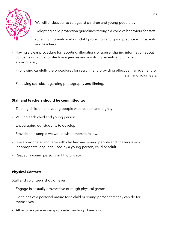

We will endeavour to safequard children and young people by

-Adopting child protection guidelines through a code of behaviour for staff.

-Sharing information about child protection and good practice with parents and teachers.

- Having a clear procedure for reporting allegations or abuse, sharing information about concerns with child protection agencies and involving parents and children appropriately.
	- Following carefully the procedures for recruitment, providing effective management for staff and volunteers.
- Following set rules regarding photography and filming.

### **Staff and teachers should be committed to:**

- Treating children and young people with respect and dignity.
- Valuing each child and young person.
- Encouraging our students to develop.
- Provide an example we would wish others to follow.
- Use appropriate language with children and young people and challenge any inappropriate language used by a young person, child or adult.
- Respect a young persons right to privacy.

## **Physical Contact:**

Staff and volunteers should never:

- Engage in sexually provocative or rough physical games.
- Do things of a personal nature for a child or young person that they can do for themselves.
- Allow or engage in inappropriate touching of any kind.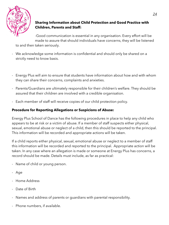

## **Sharing Information about Child Protection and Good Practice with Children, Parents and Staff:**

-Good communication is essential in any organisation. Every effort will be made to assure that should individuals have concerns, they will be listened

to and then taken seriously.

- We acknowledge some information is confidential and should only be shared on a strictly need to know basis.
- Energy Plus will aim to ensure that students have information about how and with whom they can share their concerns, complaints and anxieties.
- Parents/Guardians are ultimately responsible for their children's welfare. They should be assured that their children are involved with a credible organisation.
- Each member of staff will receive copies of our child protection policy.

### **Procedure for Reporting Allegations or Suspicions of Abuse:**

Energy Plus School of Dance has the following procedures in place to help any child who appears to be at risk or a victim of abuse. If a member of staff suspects either physical, sexual, emotional abuse or neglect of a child, then this should be reported to the principal. This information will be recorded and appropriate actions will be taken.

If a child reports either physical, sexual, emotional abuse or neglect to a member of staff this information will be recorded and reported to the principal. Appropriate action will be taken. In any case where an allegation is made or someone at Energy Plus has concerns, a record should be made. Details must include, as far as practical:

- Name of child or young person.
- Age
- Home Address
- Date of Birth
- Names and address of parents or quardians with parental responsibility.
- Phone numbers, if available.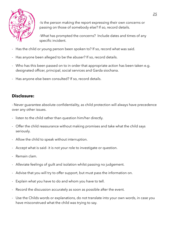

-Is the person making the report expressing their own concerns or passing on those of somebody else? If so, record details.

-What has prompted the concerns? Include dates and times of any specific incident.

- Has the child or young person been spoken to? If so, record what was said.
- Has anyone been alleged to be the abuser? If so, record details.
- Who has this been passed on to in order that appropriate action has been taken e.g. designated officer, principal, social services and Garda siochana.
- Has anyone else been consulted? If so, record details.

# **Disclosure:**

- Never guarantee absolute confidentiality, as child protection will always have precedence over any other issues.

- listen to the child rather than question him/her directly.
- Offer the child reassurance without making promises and take what the child says seriously.
- Allow the child to speak without interruption.
- Accept what is said- it is not your role to investigate or question.
- Remain clam.
- Alleviate feelings of guilt and isolation whilst passing no judgement.
- Advise that you will try to offer support, but must pass the information on.
- Explain what you have to do and whom you have to tell.
- Record the discussion accurately as soon as possible after the event.
- Use the Childs words or explanations, do not translate into your own words, in case you have misconstrued what the child was trying to say.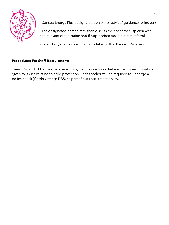

-Contact Energy Plus designated person for advice/ guidance (principal).

-The designated person may then discuss the concern/ suspicion with the relevant organistaion and if appropriate make a direct referral.

-Record any discussions or actions taken within the next 24 hours.

## **Procedures For Staff Recruitment:**

Energy School of Dance operates employment procedures that ensure highest priority is given to issues relating to child protection. Each teacher will be required to undergo a police check (Garda vetting/ DBS) as part of our recruitment policy.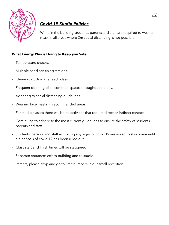

# *Covid 19 Studio Policies*

While in the building students, parents and staff are required to wear a mask in all areas where 2m social distancing is not possible.

## **What Energy Plus is Doing to Keep you Safe:**

- Temperature checks.
- Multiple hand sanitising stations.
- Cleaning studios after each class.
- Frequent cleaning of all common spaces throughout the day.
- Adhering to social distancing guidelines.
- Wearing face masks in recommended areas.
- For studio classes there will be no activities that require direct or indirect contact.
- Continuing to adhere to the most current guidelines to ensure the safety of students, parents and staff.
- Students, parents and staff exhibiting any signs of covid 19 are asked to stay home until a diagnosis of covid 19 has been ruled out.
- Class start and finish times will be staggered.
- Separate entrance/ exit to building and to studio.
- Parents, please drop and go to limit numbers in our small reception.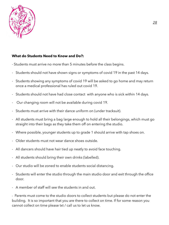

#### **What do Students Need to Know and Do?:**

- Students must arrive no more than 5 minutes before the class begins.
- Students should not have shown signs or symptoms of covid 19 in the past 14 days.
- Students showing any symptoms of covid 19 will be asked to go home and may return once a medical professional has ruled out covid 19.
- Students should not have had close contact with anyone who is sick within 14 days.
- Our changing room will not be available during covid 19.
- Students must arrive with their dance uniform on (under tracksuit).
- All students must bring a bag large enough to hold all their belongings, which must go straight into their bags as they take them off on entering the studio.
- Where possible, younger students up to grade 1 should arrive with tap shoes on.
- Older students must not wear dance shoes outside.
- All dancers should have hair tied up neatly to avoid face touching.
- All students should bring their own drinks (labelled).
- Our studio will be zoned to enable students social distancing.
- Students will enter the studio through the main studio door and exit through the office door.
- A member of staff will see the students in and out.

*-* Parents must come to the studio doors to collect students but please do not enter the building. It is so important that you are there to collect on time. If for some reason you cannot collect on time please txt / call us to let us know.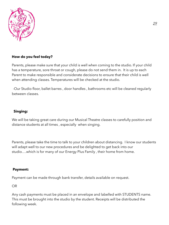

### **How do you feel today?**

Parents, please make sure that your child is well when coming to the studio. If your child has a temperature, sore throat or cough, please do not send them in. It is up to each Parent to make responsible and considerate decisions to ensure that their child is well when attending classes. Temperatures will be checked at the studio.

-Our Studio floor, ballet barres , door handles , bathrooms etc will be cleaned regularly between classes.

#### **Singing:**

We will be taking great care during our Musical Theatre classes to carefully position and distance students at all times , especially when singing.

Parents, please take the time to talk to your children about distancing. I know our students will adapt well to our new procedures and be delighted to get back into our studio....which is for many of our Energy Plus Family, their home from home.

#### **Payment:**

Payment can be made through bank transfer, details available on request.

OR

Any cash payments must be placed in an envelope and labelled with STUDENTS name. This must be brought into the studio by the student. Receipts will be distributed the following week.